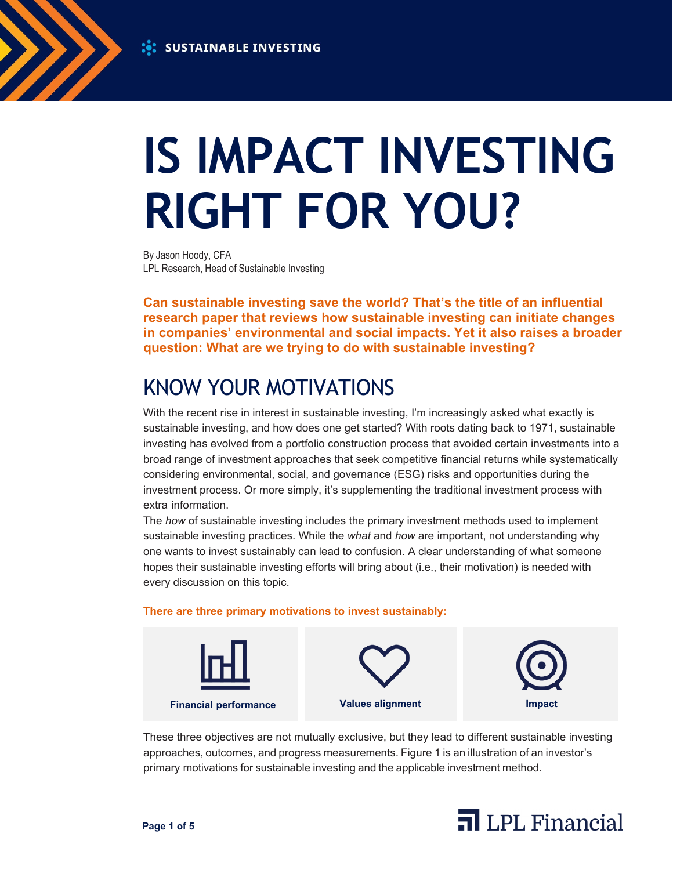

# **IS IMPACT INVESTING RIGHT FOR YOU?**

By Jason Hoody, CFA LPL Research, Head of Sustainable Investing

**Can sustainable investing save the world? That's the title of an influential research paper that reviews how sustainable investing can initiate changes in companies' environmental and social impacts. Yet it also raises a broader question: What are we trying to do with sustainable investing?**

# KNOW YOUR MOTIVATIONS

With the recent rise in interest in sustainable investing, I'm increasingly asked what exactly is sustainable investing, and how does one get started? With roots dating back to 1971, sustainable investing has evolved from a portfolio construction process that avoided certain investments into a broad range of investment approaches that seek competitive financial returns while systematically considering environmental, social, and governance (ESG) risks and opportunities during the investment process. Or more simply, it's supplementing the traditional investment process with extra information.

The *how* of sustainable investing includes the primary investment methods used to implement sustainable investing practices. While the *what* and *how* are important, not understanding why one wants to invest sustainably can lead to confusion. A clear understanding of what someone hopes their sustainable investing efforts will bring about (i.e., their motivation) is needed with every discussion on this topic.

#### **There are three primary motivations to invest sustainably:**



These three objectives are not mutually exclusive, but they lead to different sustainable investing approaches, outcomes, and progress measurements. Figure 1 is an illustration of an investor's primary motivations for sustainable investing and the applicable investment method.

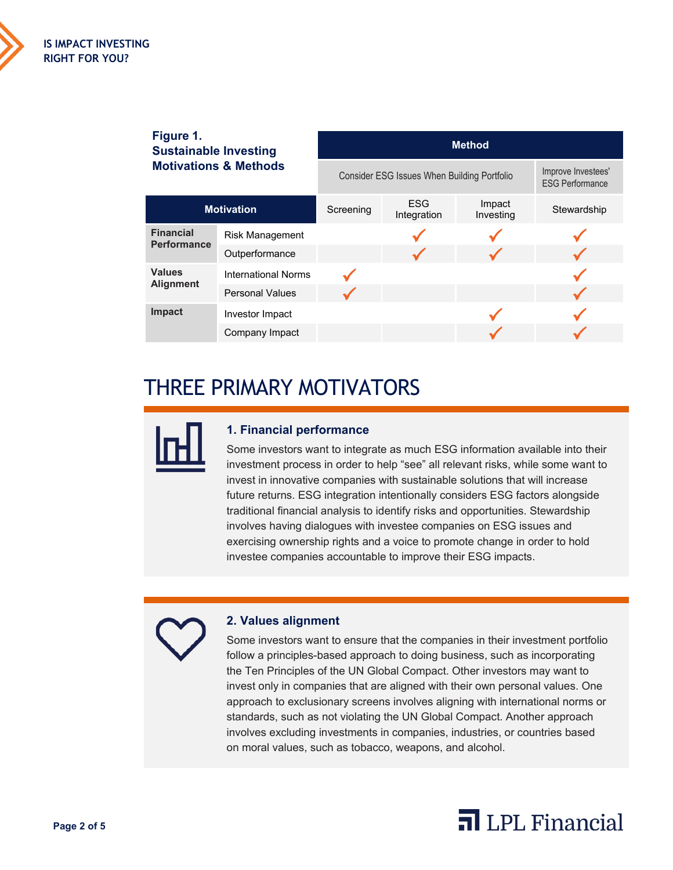

| Figure 1.<br><b>Sustainable Investing</b><br><b>Motivations &amp; Methods</b> |                            | <b>Method</b>                               |                           |                     |                                              |
|-------------------------------------------------------------------------------|----------------------------|---------------------------------------------|---------------------------|---------------------|----------------------------------------------|
|                                                                               |                            | Consider ESG Issues When Building Portfolio |                           |                     | Improve Investees'<br><b>ESG Performance</b> |
| <b>Motivation</b>                                                             |                            | Screening                                   | <b>ESG</b><br>Integration | Impact<br>Investing | Stewardship                                  |
| <b>Financial</b><br><b>Performance</b>                                        | <b>Risk Management</b>     |                                             |                           |                     |                                              |
|                                                                               | Outperformance             |                                             |                           |                     |                                              |
| <b>Values</b><br><b>Alignment</b>                                             | <b>International Norms</b> |                                             |                           |                     |                                              |
|                                                                               | <b>Personal Values</b>     |                                             |                           |                     |                                              |
| <b>Impact</b>                                                                 | Investor Impact            |                                             |                           |                     |                                              |
|                                                                               | Company Impact             |                                             |                           |                     |                                              |

## THREE PRIMARY MOTIVATORS



### **1. Financial performance**

Some investors want to integrate as much ESG information available into their investment process in order to help "see" all relevant risks, while some want to invest in innovative companies with sustainable solutions that will increase future returns. ESG integration intentionally considers ESG factors alongside traditional financial analysis to identify risks and opportunities. Stewardship involves having dialogues with investee companies on ESG issues and exercising ownership rights and a voice to promote change in order to hold investee companies accountable to improve their ESG impacts.

## **2. Values alignment**

Some investors want to ensure that the companies in their investment portfolio follow a principles-based approach to doing business, such as incorporating the Ten Principles of the UN Global Compact. Other investors may want to invest only in companies that are aligned with their own personal values. One approach to exclusionary screens involves aligning with international norms or standards, such as not violating the UN Global Compact. Another approach involves excluding investments in companies, industries, or countries based on moral values, such as tobacco, weapons, and alcohol.

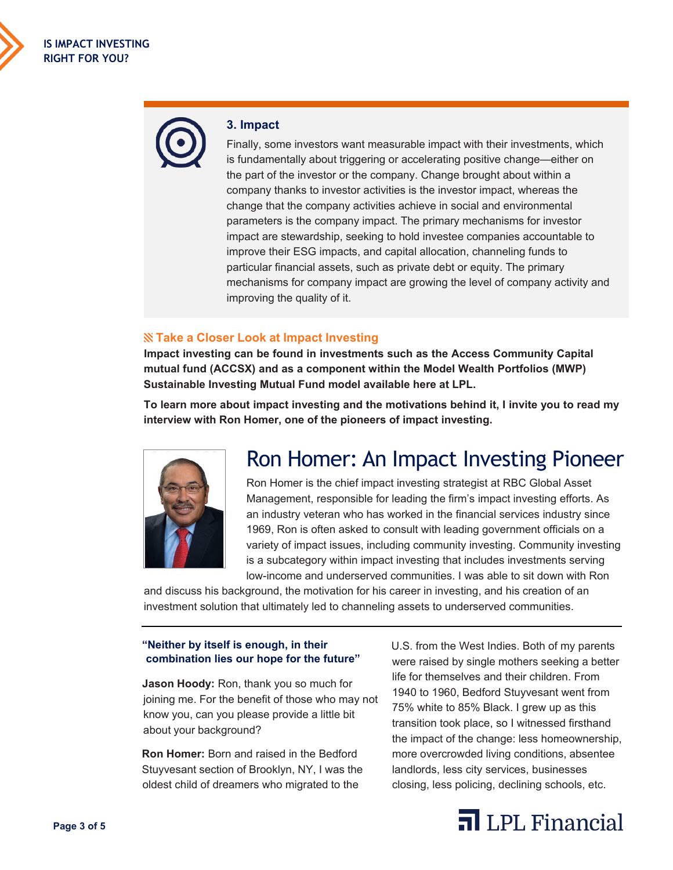#### **3. Impact**

Finally, some investors want measurable impact with their investments, which is fundamentally about triggering or accelerating positive change—either on the part of the investor or the company. Change brought about within a company thanks to investor activities is the investor impact, whereas the change that the company activities achieve in social and environmental parameters is the company impact. The primary mechanisms for investor impact are stewardship, seeking to hold investee companies accountable to improve their ESG impacts, and capital allocation, channeling funds to particular financial assets, such as private debt or equity. The primary mechanisms for company impact are growing the level of company activity and improving the quality of it.

#### **Take a Closer Look at Impact Investing**

**Impact investing can be found in investments such as the Access Community Capital mutual fund (ACCSX) and as a component within the Model Wealth Portfolios (MWP) Sustainable Investing Mutual Fund model available here at LPL.**

**To learn more about impact investing and the motivations behind it, I invite you to read my interview with Ron Homer, one of the pioneers of impact investing.**



## Ron Homer: An Impact Investing Pioneer

Ron Homer is the chief impact investing strategist at RBC Global Asset Management, responsible for leading the firm's impact investing efforts. As an industry veteran who has worked in the financial services industry since 1969, Ron is often asked to consult with leading government officials on a variety of impact issues, including community investing. Community investing is a subcategory within impact investing that includes investments serving low-income and underserved communities. I was able to sit down with Ron

and discuss his background, the motivation for his career in investing, and his creation of an investment solution that ultimately led to channeling assets to underserved communities.

#### **"Neither by itself is enough, in their combination lies our hope for the future"**

**Jason Hoody:** Ron, thank you so much for joining me. For the benefit of those who may not know you, can you please provide a little bit about your background?

**Ron Homer:** Born and raised in the Bedford Stuyvesant section of Brooklyn, NY, I was the oldest child of dreamers who migrated to the

U.S. from the West Indies. Both of my parents were raised by single mothers seeking a better life for themselves and their children. From 1940 to 1960, Bedford Stuyvesant went from 75% white to 85% Black. I grew up as this transition took place, so I witnessed firsthand the impact of the change: less homeownership, more overcrowded living conditions, absentee landlords, less city services, businesses closing, less policing, declining schools, etc.

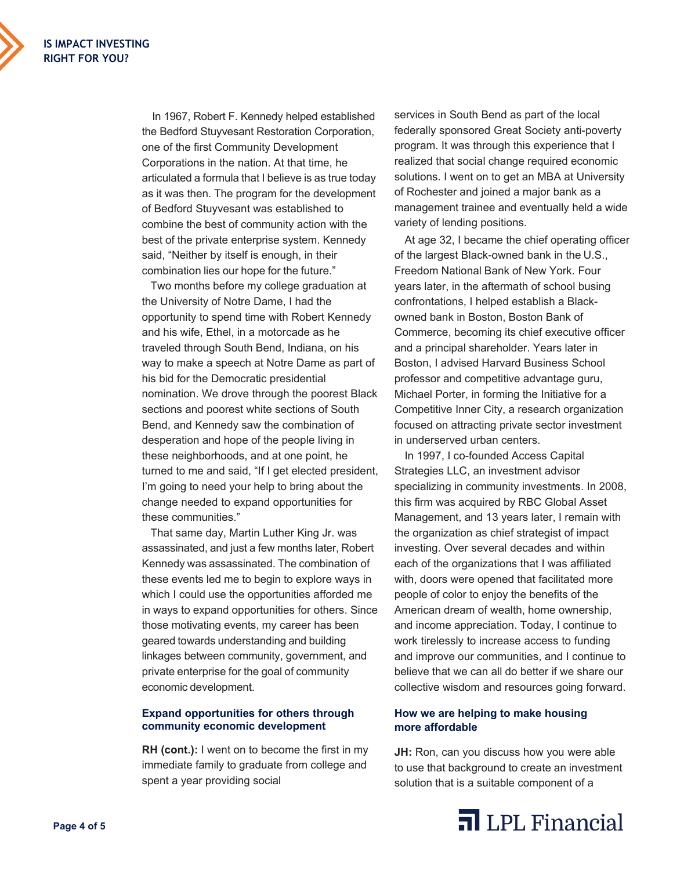In 1967, Robert F. Kennedy helped established the Bedford Stuyvesant Restoration Corporation, one of the first Community Development Corporations in the nation. At that time, he articulated a formula that I believe is as true today as it was then. The program for the development of Bedford Stuyvesant was established to combine the best of community action with the best of the private enterprise system. Kennedy said, "Neither by itself is enough, in their combination lies our hope for the future."

Two months before my college graduation at the University of Notre Dame, I had the opportunity to spend time with Robert Kennedy and his wife, Ethel, in a motorcade as he traveled through South Bend, Indiana, on his way to make a speech at Notre Dame as part of his bid for the Democratic presidential nomination. We drove through the poorest Black sections and poorest white sections of South Bend, and Kennedy saw the combination of desperation and hope of the people living in these neighborhoods, and at one point, he turned to me and said, "If I get elected president, I'm going to need your help to bring about the change needed to expand opportunities for these communities."

That same day, Martin Luther King Jr. was assassinated, and just a few months later, Robert Kennedy was assassinated. The combination of these events led me to begin to explore ways in which I could use the opportunities afforded me in ways to expand opportunities for others. Since those motivating events, my career has been geared towards understanding and building linkages between community, government, and private enterprise for the goal of community economic development.

#### **Expand opportunities for others through community economic development**

**RH (cont.):** I went on to become the first in my immediate family to graduate from college and spent a year providing social

services in South Bend as part of the local federally sponsored Great Society anti-poverty program. It was through this experience that I realized that social change required economic solutions. I went on to get an MBA at University of Rochester and joined a major bank as a management trainee and eventually held a wide variety of lending positions.

At age 32, I became the chief operating officer of the largest Black-owned bank in the U.S., Freedom National Bank of New York. Four years later, in the aftermath of school busing confrontations, I helped establish a Blackowned bank in Boston, Boston Bank of Commerce, becoming its chief executive officer and a principal shareholder. Years later in Boston, I advised Harvard Business School professor and competitive advantage guru, Michael Porter, in forming the Initiative for a Competitive Inner City, a research organization focused on attracting private sector investment in underserved urban centers.

In 1997, I co-founded Access Capital Strategies LLC, an investment advisor specializing in community investments. In 2008, this firm was acquired by RBC Global Asset Management, and 13 years later, I remain with the organization as chief strategist of impact investing. Over several decades and within each of the organizations that I was affiliated with, doors were opened that facilitated more people of color to enjoy the benefits of the American dream of wealth, home ownership, and income appreciation. Today, I continue to work tirelessly to increase access to funding and improve our communities, and I continue to believe that we can all do better if we share our collective wisdom and resources going forward.

#### **How we are helping to make housing more affordable**

**JH:** Ron, can you discuss how you were able to use that background to create an investment solution that is a suitable component of a